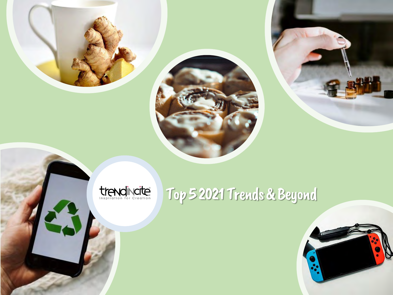



# trendincité

# Top 5 2021 Trends & Beyond

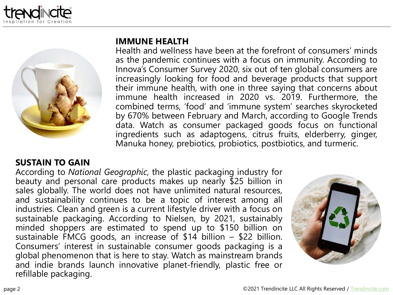



## **IMMUNE HEALTH**

Health and wellness have been at the forefront of consumers' minds as the pandemic continues with a focus on immunity. According to Innova's Consumer Survey 2020, six out of ten global consumers are increasingly looking for food and beverage products that support their immune health, with one in three saying that concerns about immune health increased in 2020 vs. 2019. Furthermore, the combined terms, 'food' and 'immune system' searches skyrocketed by 670% between February and March, according to Google Trends data. Watch as consumer packaged goods focus on functional ingredients such as adaptogens, citrus fruits, elderberry, ginger, Manuka honey, prebiotics, probiotics, postbiotics, and turmeric.

# **SUSTAIN TO GAIN**

According to *National Geographic*, the plastic packaging industry for beauty and personal care products makes up nearly \$25 billion in sales globally. The world does not have unlimited natural resources, and sustainability continues to be a topic of interest among all industries. Clean and green is a current lifestyle driver with a focus on sustainable packaging. According to Nielsen, by 2021, sustainably minded shoppers are estimated to spend up to \$150 billion on sustainable FMCG goods, an increase of \$14 billion – \$22 billion. Consumers' interest in sustainable consumer goods packaging is a global phenomenon that is here to stay. Watch as mainstream brands and indie brands launch innovative planet-friendly, plastic free or refillable packaging.

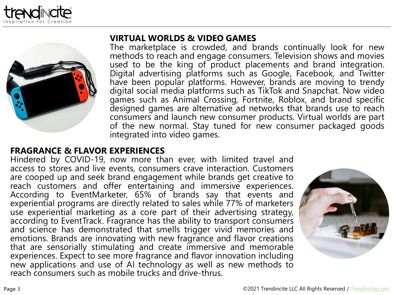



#### **VIRTUAL WORLDS & VIDEO GAMES**

The marketplace is crowded, and brands continually look for new methods to reach and engage consumers. Television shows and movies used to be the king of product placements and brand integration. Digital advertising platforms such as Google, Facebook, and Twitter have been popular platforms. However, brands are moving to trendy digital social media platforms such as TikTok and Snapchat. Now video games such as Animal Crossing, Fortnite, Roblox, and brand specific designed games are alternative ad networks that brands use to reach consumers and launch new consumer products. Virtual worlds are part of the new normal. Stay tuned for new consumer packaged goods integrated into video games.

# **FRAGRANCE & FLAVOR EXPERIENCES**

Hindered by COVID-19, now more than ever, with limited travel and access to stores and live events, consumers crave interaction. Customers are cooped up and seek brand engagement while brands get creative to reach customers and offer entertaining and immersive experiences. According to EventMarketer, 65% of brands say that events and experiential programs are directly related to sales while 77% of marketers use experiential marketing as a core part of their advertising strategy, according to EventTrack. Fragrance has the ability to transport consumers and science has demonstrated that smells trigger vivid memories and emotions. Brands are innovating with new fragrance and flavor creations that are sensorially stimulating and create immersive and memorable experiences. Expect to see more fragrance and flavor innovation including new applications and use of AI technology as well as new methods to reach consumers such as mobile trucks and drive-thrus.

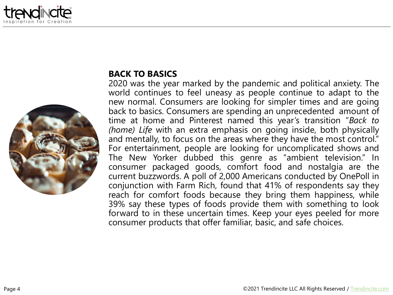



# **BACK TO BASICS**

2020 was the year marked by the pandemic and political anxiety. The world continues to feel uneasy as people continue to adapt to the new normal. Consumers are looking for simpler times and are going back to basics. Consumers are spending an unprecedented amount of time at home and Pinterest named this year's transition "*Back to (home) Life* with an extra emphasis on going inside, both physically and mentally, to focus on the areas where they have the most control." For entertainment, people are looking for uncomplicated shows and The New Yorker dubbed this genre as "ambient television." In consumer packaged goods, comfort food and nostalgia are the current buzzwords. A poll of 2,000 Americans conducted by OnePoll in conjunction with Farm Rich, found that 41% of respondents say they reach for comfort foods because they bring them happiness, while 39% say these types of foods provide them with something to look forward to in these uncertain times. Keep your eyes peeled for more consumer products that offer familiar, basic, and safe choices.